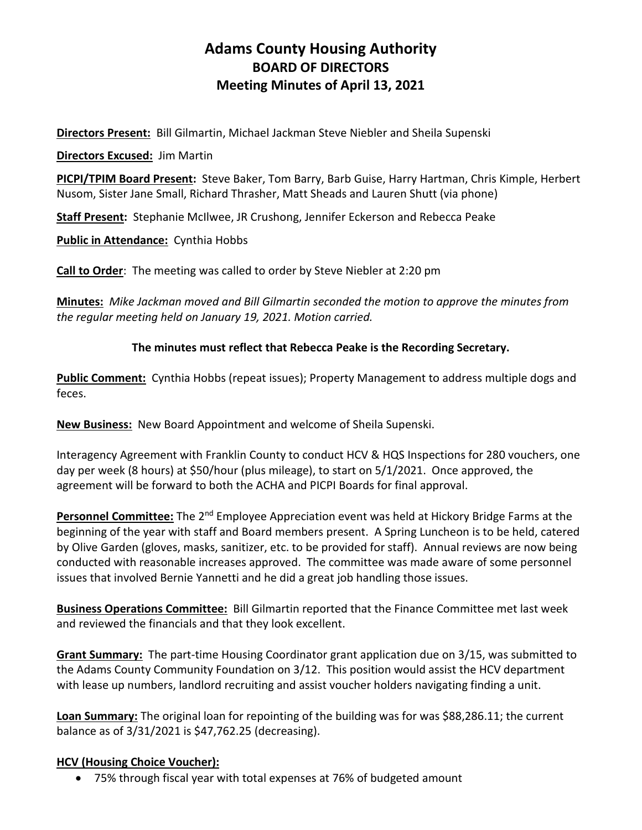# **Adams County Housing Authority BOARD OF DIRECTORS Meeting Minutes of April 13, 2021**

**Directors Present:** Bill Gilmartin, Michael Jackman Steve Niebler and Sheila Supenski

**Directors Excused:** Jim Martin

**PICPI/TPIM Board Present:** Steve Baker, Tom Barry, Barb Guise, Harry Hartman, Chris Kimple, Herbert Nusom, Sister Jane Small, Richard Thrasher, Matt Sheads and Lauren Shutt (via phone)

**Staff Present:** Stephanie McIlwee, JR Crushong, Jennifer Eckerson and Rebecca Peake

**Public in Attendance:** Cynthia Hobbs

**Call to Order**: The meeting was called to order by Steve Niebler at 2:20 pm

**Minutes:** *Mike Jackman moved and Bill Gilmartin seconded the motion to approve the minutes from the regular meeting held on January 19, 2021. Motion carried.*

## **The minutes must reflect that Rebecca Peake is the Recording Secretary.**

**Public Comment:** Cynthia Hobbs (repeat issues); Property Management to address multiple dogs and feces.

**New Business:** New Board Appointment and welcome of Sheila Supenski.

Interagency Agreement with Franklin County to conduct HCV & HQS Inspections for 280 vouchers, one day per week (8 hours) at \$50/hour (plus mileage), to start on 5/1/2021. Once approved, the agreement will be forward to both the ACHA and PICPI Boards for final approval.

**Personnel Committee:** The 2<sup>nd</sup> Employee Appreciation event was held at Hickory Bridge Farms at the beginning of the year with staff and Board members present. A Spring Luncheon is to be held, catered by Olive Garden (gloves, masks, sanitizer, etc. to be provided for staff). Annual reviews are now being conducted with reasonable increases approved. The committee was made aware of some personnel issues that involved Bernie Yannetti and he did a great job handling those issues.

**Business Operations Committee:** Bill Gilmartin reported that the Finance Committee met last week and reviewed the financials and that they look excellent.

**Grant Summary:** The part-time Housing Coordinator grant application due on 3/15, was submitted to the Adams County Community Foundation on 3/12. This position would assist the HCV department with lease up numbers, landlord recruiting and assist voucher holders navigating finding a unit.

**Loan Summary:** The original loan for repointing of the building was for was \$88,286.11; the current balance as of 3/31/2021 is \$47,762.25 (decreasing).

#### **HCV (Housing Choice Voucher):**

• 75% through fiscal year with total expenses at 76% of budgeted amount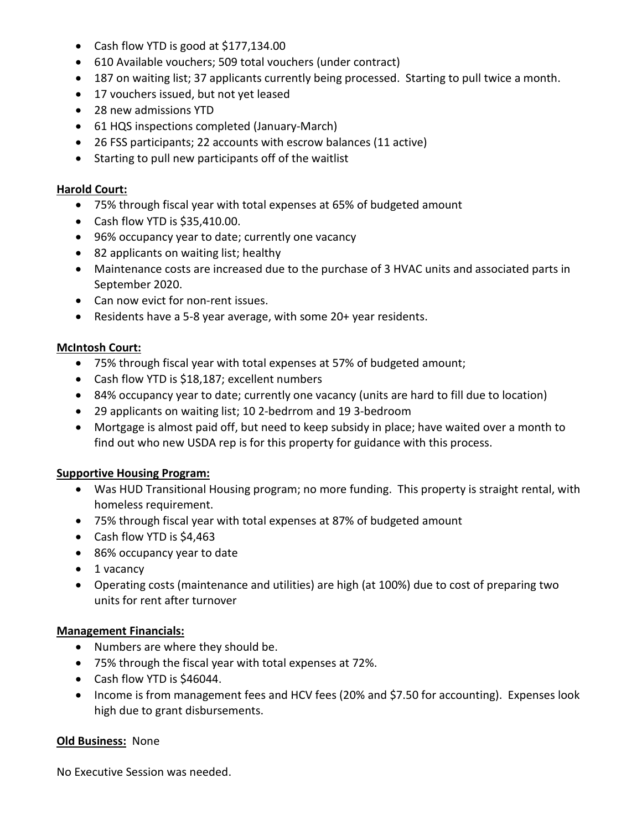- Cash flow YTD is good at \$177,134.00
- 610 Available vouchers; 509 total vouchers (under contract)
- 187 on waiting list; 37 applicants currently being processed. Starting to pull twice a month.
- 17 vouchers issued, but not yet leased
- 28 new admissions YTD
- 61 HQS inspections completed (January-March)
- 26 FSS participants; 22 accounts with escrow balances (11 active)
- Starting to pull new participants off of the waitlist

#### **Harold Court:**

- 75% through fiscal year with total expenses at 65% of budgeted amount
- Cash flow YTD is \$35,410.00.
- 96% occupancy year to date; currently one vacancy
- 82 applicants on waiting list; healthy
- Maintenance costs are increased due to the purchase of 3 HVAC units and associated parts in September 2020.
- Can now evict for non-rent issues.
- Residents have a 5-8 year average, with some 20+ year residents.

## **McIntosh Court:**

- 75% through fiscal year with total expenses at 57% of budgeted amount;
- Cash flow YTD is \$18,187; excellent numbers
- 84% occupancy year to date; currently one vacancy (units are hard to fill due to location)
- 29 applicants on waiting list; 10 2-bedrrom and 19 3-bedroom
- Mortgage is almost paid off, but need to keep subsidy in place; have waited over a month to find out who new USDA rep is for this property for guidance with this process.

# **Supportive Housing Program:**

- Was HUD Transitional Housing program; no more funding. This property is straight rental, with homeless requirement.
- 75% through fiscal year with total expenses at 87% of budgeted amount
- Cash flow YTD is \$4,463
- 86% occupancy year to date
- 1 vacancy
- Operating costs (maintenance and utilities) are high (at 100%) due to cost of preparing two units for rent after turnover

# **Management Financials:**

- Numbers are where they should be.
- 75% through the fiscal year with total expenses at 72%.
- Cash flow YTD is \$46044.
- Income is from management fees and HCV fees (20% and \$7.50 for accounting). Expenses look high due to grant disbursements.

# **Old Business:** None

No Executive Session was needed.